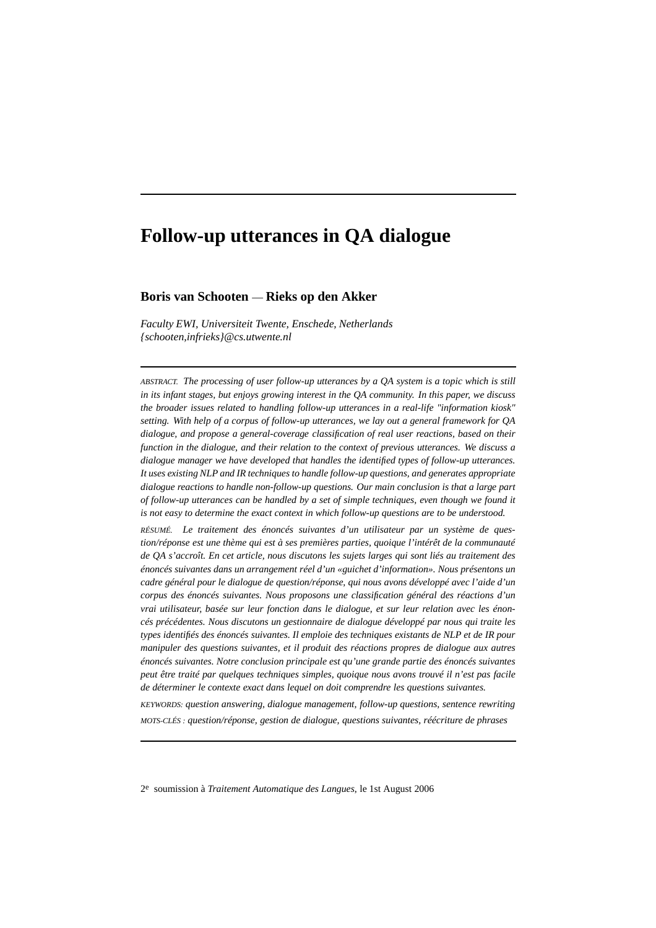# **Follow-up utterances in QA dialogue**

# **Boris van Schooten** — **Rieks op den Akker**

*Faculty EWI, Universiteit Twente, Enschede, Netherlands {schooten,infrieks}@cs.utwente.nl*

*ABSTRACT. The processing of user follow-up utterances by a QA system is a topic which is still in its infant stages, but enjoys growing interest in the QA community. In this paper, we discuss the broader issues related to handling follow-up utterances in a real-life "information kiosk" setting. With help of a corpus of follow-up utterances, we lay out a general framework for QA dialogue, and propose a general-coverage classification of real user reactions, based on their function in the dialogue, and their relation to the context of previous utterances. We discuss a dialogue manager we have developed that handles the identified types of follow-up utterances. It uses existing NLP and IR techniques to handle follow-up questions, and generates appropriate dialogue reactions to handle non-follow-up questions. Our main conclusion is that a large part of follow-up utterances can be handled by a set of simple techniques, even though we found it is not easy to determine the exact context in which follow-up questions are to be understood.*

*RÉSUMÉ. Le traitement des énoncés suivantes d'un utilisateur par un système de question/réponse est une thème qui est à ses premières parties, quoique l'intérêt de la communauté de QA s'accroît. En cet article, nous discutons les sujets larges qui sont liés au traitement des énoncés suivantes dans un arrangement réel d'un «guichet d'information». Nous présentons un cadre général pour le dialogue de question/réponse, qui nous avons développé avec l'aide d'un corpus des énoncés suivantes. Nous proposons une classification général des réactions d'un vrai utilisateur, basée sur leur fonction dans le dialogue, et sur leur relation avec les énoncés précédentes. Nous discutons un gestionnaire de dialogue développé par nous qui traite les types identifiés des énoncés suivantes. Il emploie des techniques existants de NLP et de IR pour manipuler des questions suivantes, et il produit des réactions propres de dialogue aux autres énoncés suivantes. Notre conclusion principale est qu'une grande partie des énoncés suivantes peut être traité par quelques techniques simples, quoique nous avons trouvé il n'est pas facile de déterminer le contexte exact dans lequel on doit comprendre les questions suivantes.*

*KEYWORDS: question answering, dialogue management, follow-up questions, sentence rewriting MOTS-CLÉS : question/réponse, gestion de dialogue, questions suivantes, réécriture de phrases*

<sup>2</sup>e soumission à *Traitement Automatique des Langues*, le 1st August 2006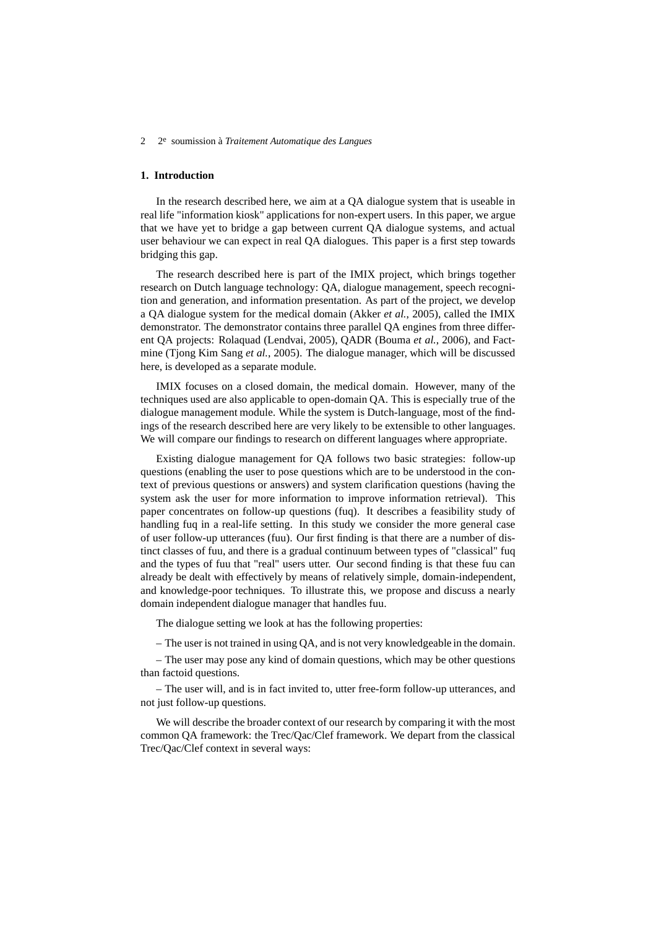# **1. Introduction**

In the research described here, we aim at a QA dialogue system that is useable in real life "information kiosk" applications for non-expert users. In this paper, we argue that we have yet to bridge a gap between current QA dialogue systems, and actual user behaviour we can expect in real QA dialogues. This paper is a first step towards bridging this gap.

The research described here is part of the IMIX project, which brings together research on Dutch language technology: QA, dialogue management, speech recognition and generation, and information presentation. As part of the project, we develop a QA dialogue system for the medical domain (Akker *et al.*, 2005), called the IMIX demonstrator. The demonstrator contains three parallel QA engines from three different QA projects: Rolaquad (Lendvai, 2005), QADR (Bouma *et al.*, 2006), and Factmine (Tjong Kim Sang *et al.*, 2005). The dialogue manager, which will be discussed here, is developed as a separate module.

IMIX focuses on a closed domain, the medical domain. However, many of the techniques used are also applicable to open-domain QA. This is especially true of the dialogue management module. While the system is Dutch-language, most of the findings of the research described here are very likely to be extensible to other languages. We will compare our findings to research on different languages where appropriate.

Existing dialogue management for QA follows two basic strategies: follow-up questions (enabling the user to pose questions which are to be understood in the context of previous questions or answers) and system clarification questions (having the system ask the user for more information to improve information retrieval). This paper concentrates on follow-up questions (fuq). It describes a feasibility study of handling fuq in a real-life setting. In this study we consider the more general case of user follow-up utterances (fuu). Our first finding is that there are a number of distinct classes of fuu, and there is a gradual continuum between types of "classical" fuq and the types of fuu that "real" users utter. Our second finding is that these fuu can already be dealt with effectively by means of relatively simple, domain-independent, and knowledge-poor techniques. To illustrate this, we propose and discuss a nearly domain independent dialogue manager that handles fuu.

The dialogue setting we look at has the following properties:

– The user is not trained in using QA, and is not very knowledgeable in the domain.

– The user may pose any kind of domain questions, which may be other questions than factoid questions.

– The user will, and is in fact invited to, utter free-form follow-up utterances, and not just follow-up questions.

We will describe the broader context of our research by comparing it with the most common QA framework: the Trec/Qac/Clef framework. We depart from the classical Trec/Qac/Clef context in several ways: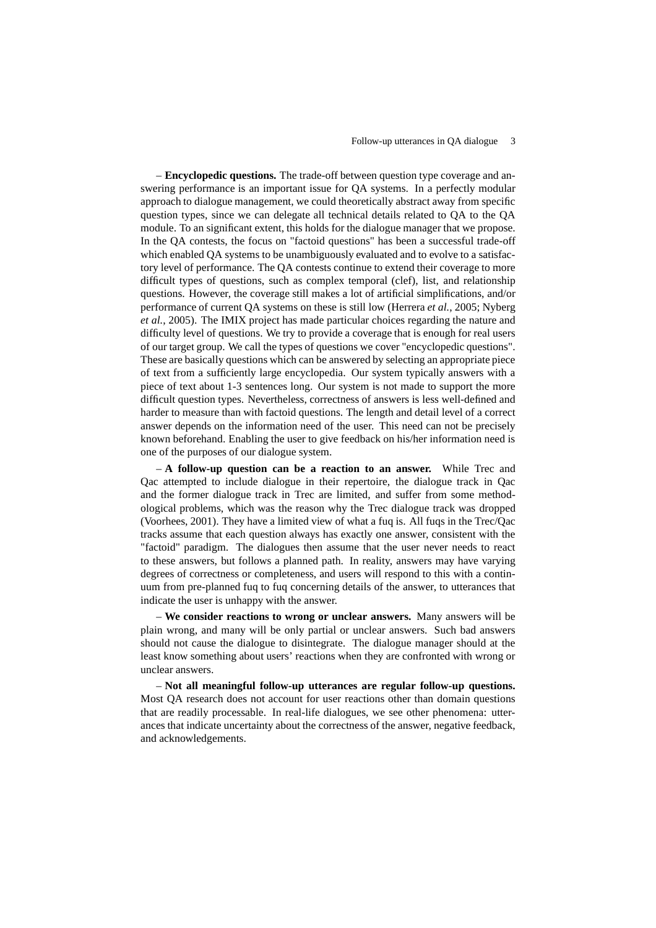– **Encyclopedic questions.** The trade-off between question type coverage and answering performance is an important issue for QA systems. In a perfectly modular approach to dialogue management, we could theoretically abstract away from specific question types, since we can delegate all technical details related to QA to the QA module. To an significant extent, this holds for the dialogue manager that we propose. In the QA contests, the focus on "factoid questions" has been a successful trade-off which enabled QA systems to be unambiguously evaluated and to evolve to a satisfactory level of performance. The QA contests continue to extend their coverage to more difficult types of questions, such as complex temporal (clef), list, and relationship questions. However, the coverage still makes a lot of artificial simplifications, and/or performance of current QA systems on these is still low (Herrera *et al.*, 2005; Nyberg *et al.*, 2005). The IMIX project has made particular choices regarding the nature and difficulty level of questions. We try to provide a coverage that is enough for real users of our target group. We call the types of questions we cover "encyclopedic questions". These are basically questions which can be answered by selecting an appropriate piece of text from a sufficiently large encyclopedia. Our system typically answers with a piece of text about 1-3 sentences long. Our system is not made to support the more difficult question types. Nevertheless, correctness of answers is less well-defined and harder to measure than with factoid questions. The length and detail level of a correct answer depends on the information need of the user. This need can not be precisely known beforehand. Enabling the user to give feedback on his/her information need is one of the purposes of our dialogue system.

– **A follow-up question can be a reaction to an answer.** While Trec and Qac attempted to include dialogue in their repertoire, the dialogue track in Qac and the former dialogue track in Trec are limited, and suffer from some methodological problems, which was the reason why the Trec dialogue track was dropped (Voorhees, 2001). They have a limited view of what a fuq is. All fuqs in the Trec/Qac tracks assume that each question always has exactly one answer, consistent with the "factoid" paradigm. The dialogues then assume that the user never needs to react to these answers, but follows a planned path. In reality, answers may have varying degrees of correctness or completeness, and users will respond to this with a continuum from pre-planned fuq to fuq concerning details of the answer, to utterances that indicate the user is unhappy with the answer.

– **We consider reactions to wrong or unclear answers.** Many answers will be plain wrong, and many will be only partial or unclear answers. Such bad answers should not cause the dialogue to disintegrate. The dialogue manager should at the least know something about users' reactions when they are confronted with wrong or unclear answers.

– **Not all meaningful follow-up utterances are regular follow-up questions.** Most QA research does not account for user reactions other than domain questions that are readily processable. In real-life dialogues, we see other phenomena: utterances that indicate uncertainty about the correctness of the answer, negative feedback, and acknowledgements.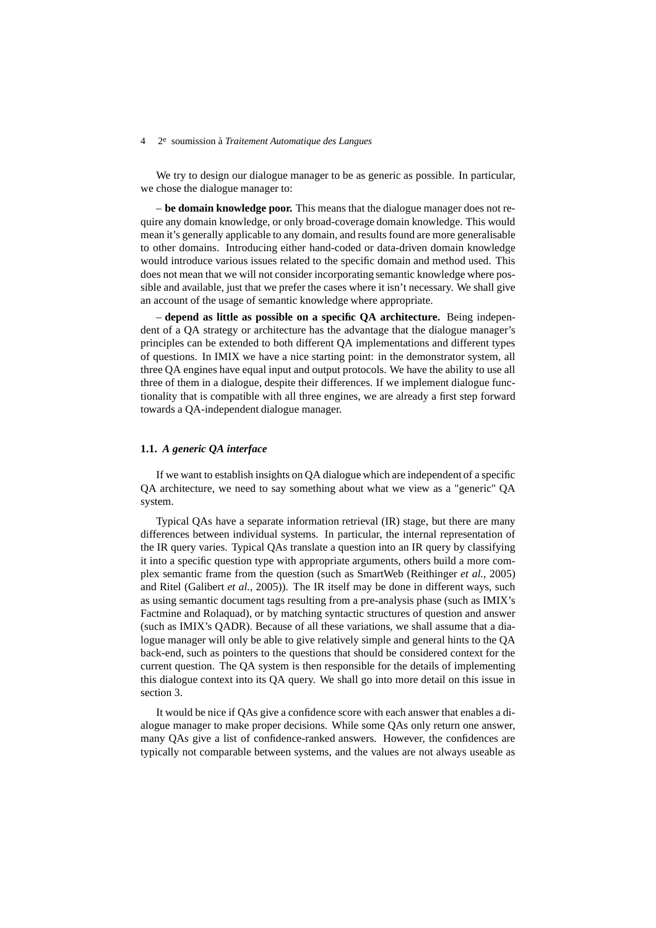We try to design our dialogue manager to be as generic as possible. In particular, we chose the dialogue manager to:

– **be domain knowledge poor.** This means that the dialogue manager does not require any domain knowledge, or only broad-coverage domain knowledge. This would mean it's generally applicable to any domain, and results found are more generalisable to other domains. Introducing either hand-coded or data-driven domain knowledge would introduce various issues related to the specific domain and method used. This does not mean that we will not consider incorporating semantic knowledge where possible and available, just that we prefer the cases where it isn't necessary. We shall give an account of the usage of semantic knowledge where appropriate.

– **depend as little as possible on a specific QA architecture.** Being independent of a QA strategy or architecture has the advantage that the dialogue manager's principles can be extended to both different QA implementations and different types of questions. In IMIX we have a nice starting point: in the demonstrator system, all three QA engines have equal input and output protocols. We have the ability to use all three of them in a dialogue, despite their differences. If we implement dialogue functionality that is compatible with all three engines, we are already a first step forward towards a QA-independent dialogue manager.

# **1.1.** *A generic QA interface*

If we want to establish insights on QA dialogue which are independent of a specific QA architecture, we need to say something about what we view as a "generic" QA system.

Typical QAs have a separate information retrieval (IR) stage, but there are many differences between individual systems. In particular, the internal representation of the IR query varies. Typical QAs translate a question into an IR query by classifying it into a specific question type with appropriate arguments, others build a more complex semantic frame from the question (such as SmartWeb (Reithinger *et al.*, 2005) and Ritel (Galibert *et al.*, 2005)). The IR itself may be done in different ways, such as using semantic document tags resulting from a pre-analysis phase (such as IMIX's Factmine and Rolaquad), or by matching syntactic structures of question and answer (such as IMIX's QADR). Because of all these variations, we shall assume that a dialogue manager will only be able to give relatively simple and general hints to the QA back-end, such as pointers to the questions that should be considered context for the current question. The QA system is then responsible for the details of implementing this dialogue context into its QA query. We shall go into more detail on this issue in section 3.

It would be nice if QAs give a confidence score with each answer that enables a dialogue manager to make proper decisions. While some QAs only return one answer, many QAs give a list of confidence-ranked answers. However, the confidences are typically not comparable between systems, and the values are not always useable as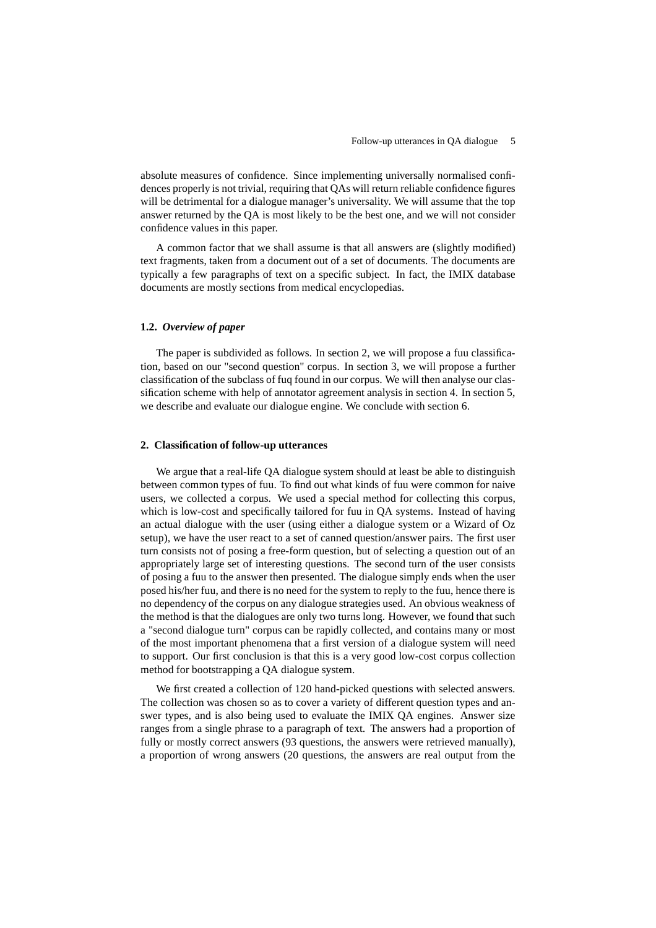absolute measures of confidence. Since implementing universally normalised confidences properly is not trivial, requiring that QAs will return reliable confidence figures will be detrimental for a dialogue manager's universality. We will assume that the top answer returned by the QA is most likely to be the best one, and we will not consider confidence values in this paper.

A common factor that we shall assume is that all answers are (slightly modified) text fragments, taken from a document out of a set of documents. The documents are typically a few paragraphs of text on a specific subject. In fact, the IMIX database documents are mostly sections from medical encyclopedias.

### **1.2.** *Overview of paper*

The paper is subdivided as follows. In section 2, we will propose a fuu classification, based on our "second question" corpus. In section 3, we will propose a further classification of the subclass of fuq found in our corpus. We will then analyse our classification scheme with help of annotator agreement analysis in section 4. In section 5, we describe and evaluate our dialogue engine. We conclude with section 6.

# **2. Classification of follow-up utterances**

We argue that a real-life QA dialogue system should at least be able to distinguish between common types of fuu. To find out what kinds of fuu were common for naive users, we collected a corpus. We used a special method for collecting this corpus, which is low-cost and specifically tailored for fuu in QA systems. Instead of having an actual dialogue with the user (using either a dialogue system or a Wizard of Oz setup), we have the user react to a set of canned question/answer pairs. The first user turn consists not of posing a free-form question, but of selecting a question out of an appropriately large set of interesting questions. The second turn of the user consists of posing a fuu to the answer then presented. The dialogue simply ends when the user posed his/her fuu, and there is no need for the system to reply to the fuu, hence there is no dependency of the corpus on any dialogue strategies used. An obvious weakness of the method is that the dialogues are only two turns long. However, we found that such a "second dialogue turn" corpus can be rapidly collected, and contains many or most of the most important phenomena that a first version of a dialogue system will need to support. Our first conclusion is that this is a very good low-cost corpus collection method for bootstrapping a QA dialogue system.

We first created a collection of 120 hand-picked questions with selected answers. The collection was chosen so as to cover a variety of different question types and answer types, and is also being used to evaluate the IMIX QA engines. Answer size ranges from a single phrase to a paragraph of text. The answers had a proportion of fully or mostly correct answers (93 questions, the answers were retrieved manually), a proportion of wrong answers (20 questions, the answers are real output from the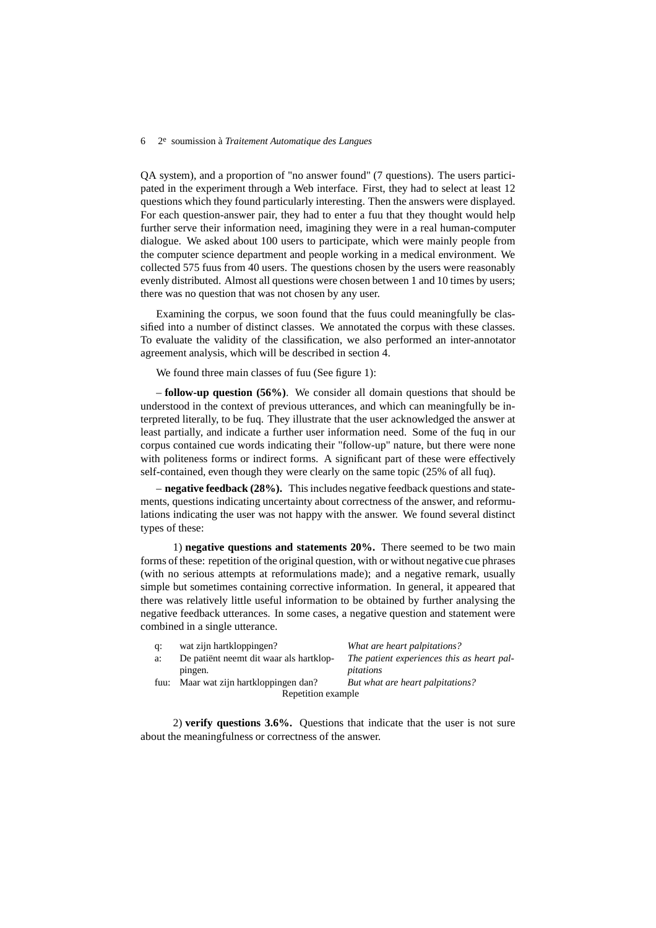QA system), and a proportion of "no answer found" (7 questions). The users participated in the experiment through a Web interface. First, they had to select at least 12 questions which they found particularly interesting. Then the answers were displayed. For each question-answer pair, they had to enter a fuu that they thought would help further serve their information need, imagining they were in a real human-computer dialogue. We asked about 100 users to participate, which were mainly people from the computer science department and people working in a medical environment. We collected 575 fuus from 40 users. The questions chosen by the users were reasonably evenly distributed. Almost all questions were chosen between 1 and 10 times by users; there was no question that was not chosen by any user.

Examining the corpus, we soon found that the fuus could meaningfully be classified into a number of distinct classes. We annotated the corpus with these classes. To evaluate the validity of the classification, we also performed an inter-annotator agreement analysis, which will be described in section 4.

We found three main classes of fuu (See figure 1):

– **follow-up question (56%)**. We consider all domain questions that should be understood in the context of previous utterances, and which can meaningfully be interpreted literally, to be fuq. They illustrate that the user acknowledged the answer at least partially, and indicate a further user information need. Some of the fuq in our corpus contained cue words indicating their "follow-up" nature, but there were none with politeness forms or indirect forms. A significant part of these were effectively self-contained, even though they were clearly on the same topic (25% of all fuq).

– **negative feedback (28%).** This includes negative feedback questions and statements, questions indicating uncertainty about correctness of the answer, and reformulations indicating the user was not happy with the answer. We found several distinct types of these:

1) **negative questions and statements 20%.** There seemed to be two main forms of these: repetition of the original question, with or without negative cue phrases (with no serious attempts at reformulations made); and a negative remark, usually simple but sometimes containing corrective information. In general, it appeared that there was relatively little useful information to be obtained by further analysing the negative feedback utterances. In some cases, a negative question and statement were combined in a single utterance.

| d: | wat zijn hartkloppingen?                | What are heart palpitations?               |
|----|-----------------------------------------|--------------------------------------------|
| a: | De patiënt neemt dit waar als hartklop- | The patient experiences this as heart pal- |
|    | pingen.                                 | pitations                                  |
|    | fuu: Maar wat zijn hartkloppingen dan?  | But what are heart palpitations?           |
|    | Repetition example                      |                                            |

2) **verify questions 3.6%.** Questions that indicate that the user is not sure about the meaningfulness or correctness of the answer.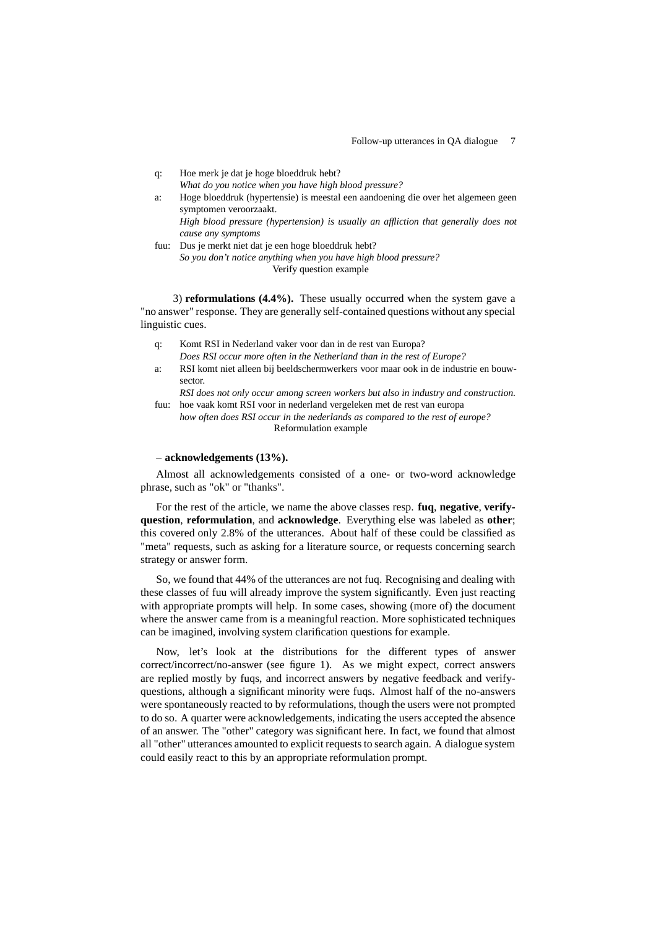q: Hoe merk je dat je hoge bloeddruk hebt? *What do you notice when you have high blood pressure?* a: Hoge bloeddruk (hypertensie) is meestal een aandoening die over het algemeen geen symptomen veroorzaakt. *High blood pressure (hypertension) is usually an affliction that generally does not cause any symptoms* fuu: Dus je merkt niet dat je een hoge bloeddruk hebt?

*So you don't notice anything when you have high blood pressure?* Verify question example

3) **reformulations (4.4%).** These usually occurred when the system gave a "no answer" response. They are generally self-contained questions without any special linguistic cues.

- q: Komt RSI in Nederland vaker voor dan in de rest van Europa?
- *Does RSI occur more often in the Netherland than in the rest of Europe?*
- a: RSI komt niet alleen bij beeldschermwerkers voor maar ook in de industrie en bouwsector.

*RSI does not only occur among screen workers but also in industry and construction.* fuu: hoe vaak komt RSI voor in nederland vergeleken met de rest van europa

*how often does RSI occur in the nederlands as compared to the rest of europe?* Reformulation example

# – **acknowledgements (13%).**

Almost all acknowledgements consisted of a one- or two-word acknowledge phrase, such as "ok" or "thanks".

For the rest of the article, we name the above classes resp. **fuq**, **negative**, **verifyquestion**, **reformulation**, and **acknowledge**. Everything else was labeled as **other**; this covered only 2.8% of the utterances. About half of these could be classified as "meta" requests, such as asking for a literature source, or requests concerning search strategy or answer form.

So, we found that 44% of the utterances are not fuq. Recognising and dealing with these classes of fuu will already improve the system significantly. Even just reacting with appropriate prompts will help. In some cases, showing (more of) the document where the answer came from is a meaningful reaction. More sophisticated techniques can be imagined, involving system clarification questions for example.

Now, let's look at the distributions for the different types of answer correct/incorrect/no-answer (see figure 1). As we might expect, correct answers are replied mostly by fuqs, and incorrect answers by negative feedback and verifyquestions, although a significant minority were fuqs. Almost half of the no-answers were spontaneously reacted to by reformulations, though the users were not prompted to do so. A quarter were acknowledgements, indicating the users accepted the absence of an answer. The "other" category was significant here. In fact, we found that almost all "other" utterances amounted to explicit requests to search again. A dialogue system could easily react to this by an appropriate reformulation prompt.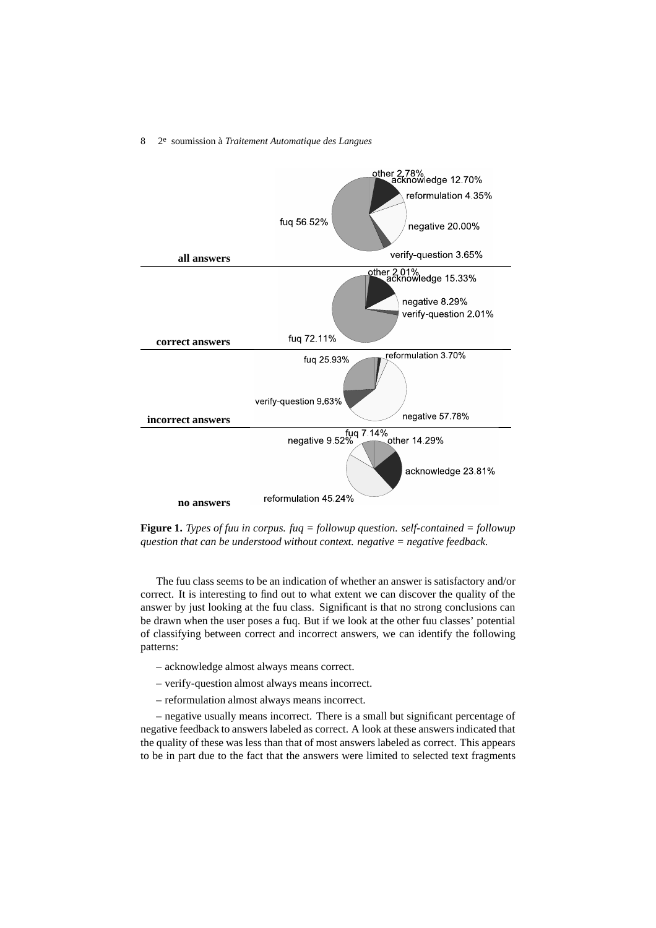

**Figure 1.** *Types of fuu in corpus. fuq = followup question. self-contained = followup question that can be understood without context. negative = negative feedback.*

The fuu class seems to be an indication of whether an answer is satisfactory and/or correct. It is interesting to find out to what extent we can discover the quality of the answer by just looking at the fuu class. Significant is that no strong conclusions can be drawn when the user poses a fuq. But if we look at the other fuu classes' potential of classifying between correct and incorrect answers, we can identify the following patterns:

- acknowledge almost always means correct.
- verify-question almost always means incorrect.
- reformulation almost always means incorrect.

– negative usually means incorrect. There is a small but significant percentage of negative feedback to answers labeled as correct. A look at these answers indicated that the quality of these was less than that of most answers labeled as correct. This appears to be in part due to the fact that the answers were limited to selected text fragments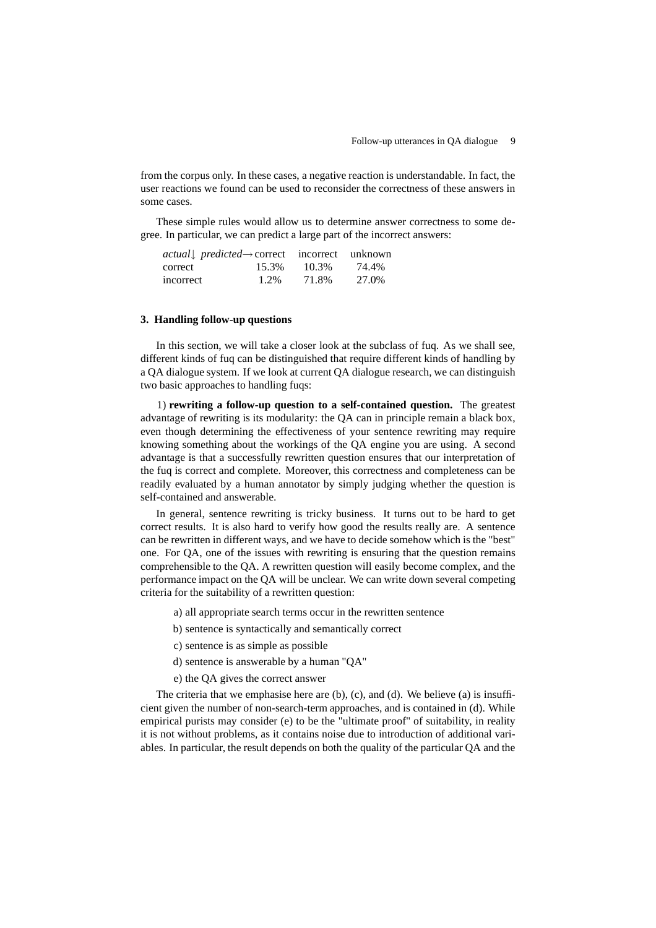from the corpus only. In these cases, a negative reaction is understandable. In fact, the user reactions we found can be used to reconsider the correctness of these answers in some cases.

These simple rules would allow us to determine answer correctness to some degree. In particular, we can predict a large part of the incorrect answers:

| $actual$ predicted -> correct incorrect unknown |       |       |       |
|-------------------------------------------------|-------|-------|-------|
| correct                                         | 15.3% | 10.3% | 74.4% |
| incorrect                                       | 1.2%  | 71.8% | 27.0% |

## **3. Handling follow-up questions**

In this section, we will take a closer look at the subclass of fuq. As we shall see, different kinds of fuq can be distinguished that require different kinds of handling by a QA dialogue system. If we look at current QA dialogue research, we can distinguish two basic approaches to handling fuqs:

1) **rewriting a follow-up question to a self-contained question.** The greatest advantage of rewriting is its modularity: the QA can in principle remain a black box, even though determining the effectiveness of your sentence rewriting may require knowing something about the workings of the QA engine you are using. A second advantage is that a successfully rewritten question ensures that our interpretation of the fuq is correct and complete. Moreover, this correctness and completeness can be readily evaluated by a human annotator by simply judging whether the question is self-contained and answerable.

In general, sentence rewriting is tricky business. It turns out to be hard to get correct results. It is also hard to verify how good the results really are. A sentence can be rewritten in different ways, and we have to decide somehow which is the "best" one. For QA, one of the issues with rewriting is ensuring that the question remains comprehensible to the QA. A rewritten question will easily become complex, and the performance impact on the QA will be unclear. We can write down several competing criteria for the suitability of a rewritten question:

- a) all appropriate search terms occur in the rewritten sentence
- b) sentence is syntactically and semantically correct
- c) sentence is as simple as possible
- d) sentence is answerable by a human "QA"
- e) the QA gives the correct answer

The criteria that we emphasise here are (b), (c), and (d). We believe (a) is insufficient given the number of non-search-term approaches, and is contained in (d). While empirical purists may consider (e) to be the "ultimate proof" of suitability, in reality it is not without problems, as it contains noise due to introduction of additional variables. In particular, the result depends on both the quality of the particular QA and the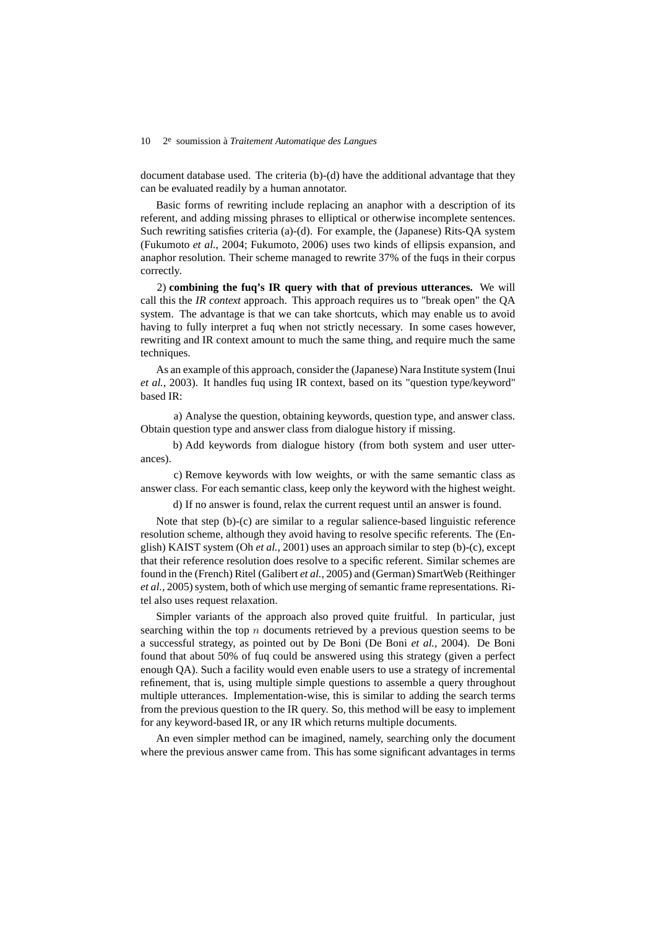document database used. The criteria (b)-(d) have the additional advantage that they can be evaluated readily by a human annotator.

Basic forms of rewriting include replacing an anaphor with a description of its referent, and adding missing phrases to elliptical or otherwise incomplete sentences. Such rewriting satisfies criteria (a)-(d). For example, the (Japanese) Rits-QA system (Fukumoto *et al.*, 2004; Fukumoto, 2006) uses two kinds of ellipsis expansion, and anaphor resolution. Their scheme managed to rewrite 37% of the fuqs in their corpus correctly.

2) **combining the fuq's IR query with that of previous utterances.** We will call this the *IR context* approach. This approach requires us to "break open" the QA system. The advantage is that we can take shortcuts, which may enable us to avoid having to fully interpret a fuq when not strictly necessary. In some cases however, rewriting and IR context amount to much the same thing, and require much the same techniques.

As an example of this approach, consider the (Japanese) Nara Institute system (Inui *et al.*, 2003). It handles fuq using IR context, based on its "question type/keyword" based IR:

a) Analyse the question, obtaining keywords, question type, and answer class. Obtain question type and answer class from dialogue history if missing.

b) Add keywords from dialogue history (from both system and user utterances).

c) Remove keywords with low weights, or with the same semantic class as answer class. For each semantic class, keep only the keyword with the highest weight.

d) If no answer is found, relax the current request until an answer is found.

Note that step (b)-(c) are similar to a regular salience-based linguistic reference resolution scheme, although they avoid having to resolve specific referents. The (English) KAIST system (Oh *et al.*, 2001) uses an approach similar to step (b)-(c), except that their reference resolution does resolve to a specific referent. Similar schemes are found in the (French) Ritel (Galibert *et al.*, 2005) and (German) SmartWeb (Reithinger *et al.*, 2005) system, both of which use merging of semantic frame representations. Ritel also uses request relaxation.

Simpler variants of the approach also proved quite fruitful. In particular, just searching within the top n documents retrieved by a previous question seems to be a successful strategy, as pointed out by De Boni (De Boni *et al.*, 2004). De Boni found that about 50% of fuq could be answered using this strategy (given a perfect enough QA). Such a facility would even enable users to use a strategy of incremental refinement, that is, using multiple simple questions to assemble a query throughout multiple utterances. Implementation-wise, this is similar to adding the search terms from the previous question to the IR query. So, this method will be easy to implement for any keyword-based IR, or any IR which returns multiple documents.

An even simpler method can be imagined, namely, searching only the document where the previous answer came from. This has some significant advantages in terms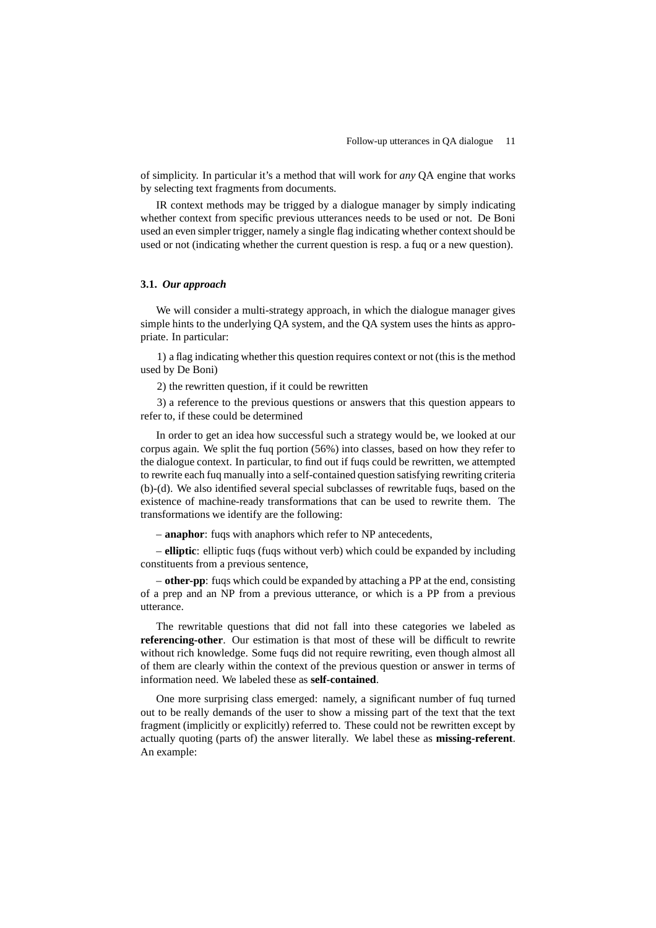of simplicity. In particular it's a method that will work for *any* QA engine that works by selecting text fragments from documents.

IR context methods may be trigged by a dialogue manager by simply indicating whether context from specific previous utterances needs to be used or not. De Boni used an even simpler trigger, namely a single flag indicating whether contextshould be used or not (indicating whether the current question is resp. a fuq or a new question).

# **3.1.** *Our approach*

We will consider a multi-strategy approach, in which the dialogue manager gives simple hints to the underlying QA system, and the QA system uses the hints as appropriate. In particular:

1) a flag indicating whether this question requires context or not (this is the method used by De Boni)

2) the rewritten question, if it could be rewritten

3) a reference to the previous questions or answers that this question appears to refer to, if these could be determined

In order to get an idea how successful such a strategy would be, we looked at our corpus again. We split the fuq portion (56%) into classes, based on how they refer to the dialogue context. In particular, to find out if fuqs could be rewritten, we attempted to rewrite each fuq manually into a self-contained question satisfying rewriting criteria (b)-(d). We also identified several special subclasses of rewritable fuqs, based on the existence of machine-ready transformations that can be used to rewrite them. The transformations we identify are the following:

– **anaphor**: fuqs with anaphors which refer to NP antecedents,

– **elliptic**: elliptic fuqs (fuqs without verb) which could be expanded by including constituents from a previous sentence,

– **other-pp**: fuqs which could be expanded by attaching a PP at the end, consisting of a prep and an NP from a previous utterance, or which is a PP from a previous utterance.

The rewritable questions that did not fall into these categories we labeled as **referencing-other**. Our estimation is that most of these will be difficult to rewrite without rich knowledge. Some fuqs did not require rewriting, even though almost all of them are clearly within the context of the previous question or answer in terms of information need. We labeled these as **self-contained**.

One more surprising class emerged: namely, a significant number of fuq turned out to be really demands of the user to show a missing part of the text that the text fragment (implicitly or explicitly) referred to. These could not be rewritten except by actually quoting (parts of) the answer literally. We label these as **missing-referent**. An example: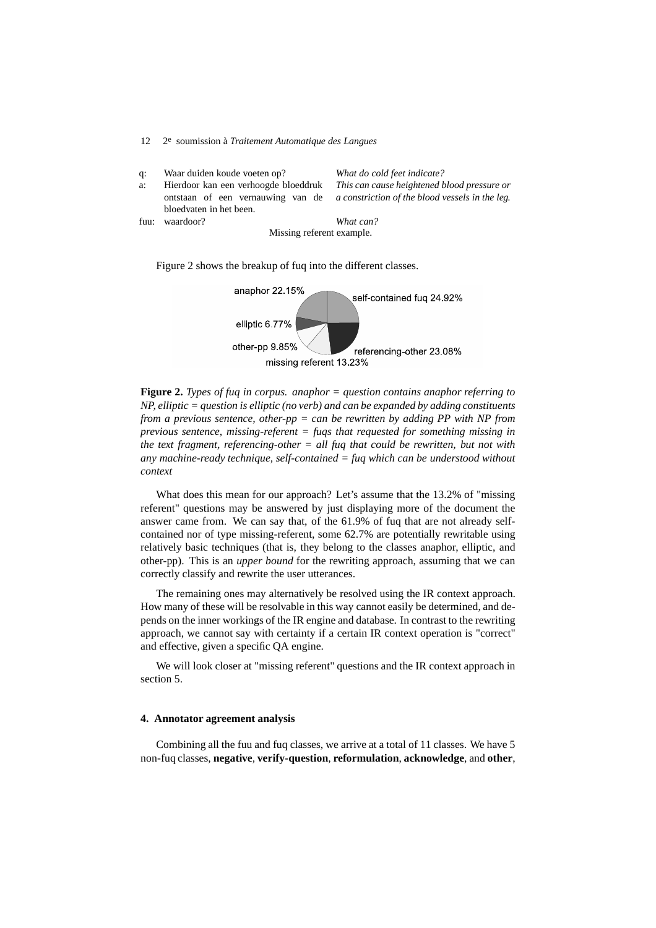| q:                        | Waar duiden koude voeten op?                                              | What do cold feet indicate?                                                                    |
|---------------------------|---------------------------------------------------------------------------|------------------------------------------------------------------------------------------------|
| a:                        | Hierdoor kan een verhoogde bloeddruk<br>ontstaan of een vernauwing van de | This can cause heightened blood pressure or<br>a constriction of the blood vessels in the leg. |
|                           | bloedvaten in het been.                                                   |                                                                                                |
| fuu:                      | waardoor?                                                                 | What can?                                                                                      |
| Missing referent example. |                                                                           |                                                                                                |

Figure 2 shows the breakup of fuq into the different classes.

12 2e soumission à *Traitement Automatique des Langues*



**Figure 2.** *Types of fuq in corpus. anaphor = question contains anaphor referring to NP, elliptic = question is elliptic (no verb) and can be expanded by adding constituents from a previous sentence, other-pp = can be rewritten by adding PP with NP from previous sentence, missing-referent = fuqs that requested for something missing in the text fragment, referencing-other = all fuq that could be rewritten, but not with any machine-ready technique, self-contained = fuq which can be understood without context*

What does this mean for our approach? Let's assume that the 13.2% of "missing referent" questions may be answered by just displaying more of the document the answer came from. We can say that, of the 61.9% of fuq that are not already selfcontained nor of type missing-referent, some 62.7% are potentially rewritable using relatively basic techniques (that is, they belong to the classes anaphor, elliptic, and other-pp). This is an *upper bound* for the rewriting approach, assuming that we can correctly classify and rewrite the user utterances.

The remaining ones may alternatively be resolved using the IR context approach. How many of these will be resolvable in this way cannot easily be determined, and depends on the inner workings of the IR engine and database. In contrast to the rewriting approach, we cannot say with certainty if a certain IR context operation is "correct" and effective, given a specific QA engine.

We will look closer at "missing referent" questions and the IR context approach in section 5.

# **4. Annotator agreement analysis**

Combining all the fuu and fuq classes, we arrive at a total of 11 classes. We have 5 non-fuq classes, **negative**, **verify-question**, **reformulation**, **acknowledge**, and **other**,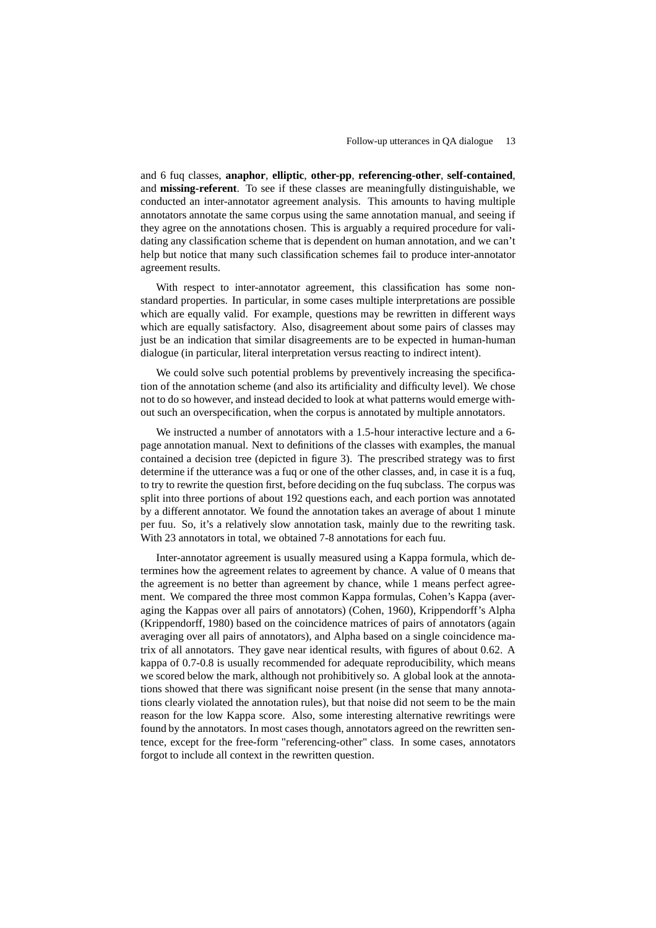and 6 fuq classes, **anaphor**, **elliptic**, **other-pp**, **referencing-other**, **self-contained**, and **missing-referent**. To see if these classes are meaningfully distinguishable, we conducted an inter-annotator agreement analysis. This amounts to having multiple annotators annotate the same corpus using the same annotation manual, and seeing if they agree on the annotations chosen. This is arguably a required procedure for validating any classification scheme that is dependent on human annotation, and we can't help but notice that many such classification schemes fail to produce inter-annotator agreement results.

With respect to inter-annotator agreement, this classification has some nonstandard properties. In particular, in some cases multiple interpretations are possible which are equally valid. For example, questions may be rewritten in different ways which are equally satisfactory. Also, disagreement about some pairs of classes may just be an indication that similar disagreements are to be expected in human-human dialogue (in particular, literal interpretation versus reacting to indirect intent).

We could solve such potential problems by preventively increasing the specification of the annotation scheme (and also its artificiality and difficulty level). We chose not to do so however, and instead decided to look at what patterns would emerge without such an overspecification, when the corpus is annotated by multiple annotators.

We instructed a number of annotators with a 1.5-hour interactive lecture and a 6 page annotation manual. Next to definitions of the classes with examples, the manual contained a decision tree (depicted in figure 3). The prescribed strategy was to first determine if the utterance was a fuq or one of the other classes, and, in case it is a fuq, to try to rewrite the question first, before deciding on the fuq subclass. The corpus was split into three portions of about 192 questions each, and each portion was annotated by a different annotator. We found the annotation takes an average of about 1 minute per fuu. So, it's a relatively slow annotation task, mainly due to the rewriting task. With 23 annotators in total, we obtained 7-8 annotations for each fuu.

Inter-annotator agreement is usually measured using a Kappa formula, which determines how the agreement relates to agreement by chance. A value of 0 means that the agreement is no better than agreement by chance, while 1 means perfect agreement. We compared the three most common Kappa formulas, Cohen's Kappa (averaging the Kappas over all pairs of annotators) (Cohen, 1960), Krippendorff's Alpha (Krippendorff, 1980) based on the coincidence matrices of pairs of annotators (again averaging over all pairs of annotators), and Alpha based on a single coincidence matrix of all annotators. They gave near identical results, with figures of about 0.62. A kappa of 0.7-0.8 is usually recommended for adequate reproducibility, which means we scored below the mark, although not prohibitively so. A global look at the annotations showed that there was significant noise present (in the sense that many annotations clearly violated the annotation rules), but that noise did not seem to be the main reason for the low Kappa score. Also, some interesting alternative rewritings were found by the annotators. In most cases though, annotators agreed on the rewritten sentence, except for the free-form "referencing-other" class. In some cases, annotators forgot to include all context in the rewritten question.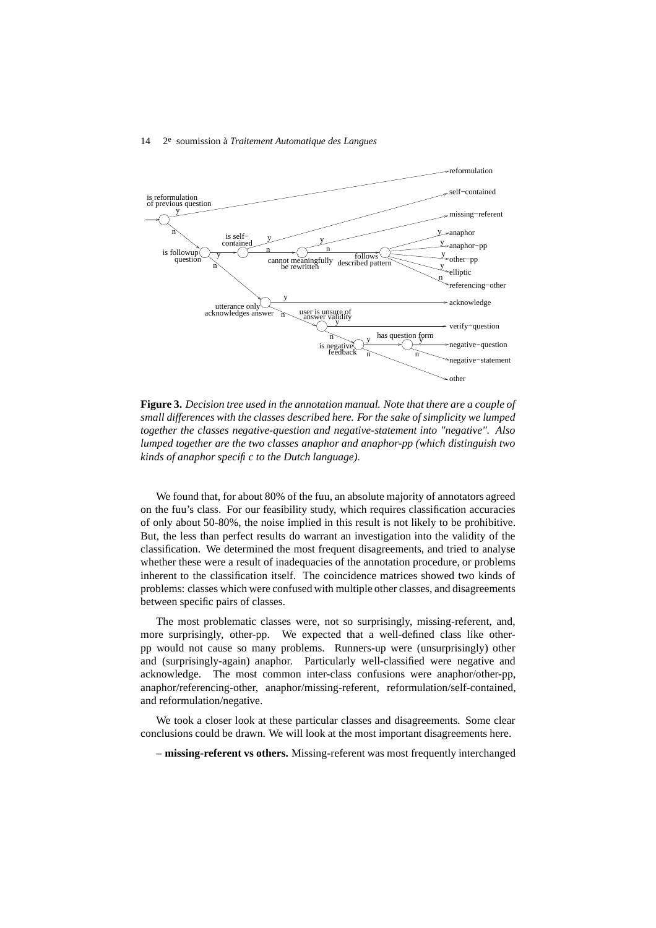

**Figure 3.** *Decision tree used in the annotation manual. Note that there are a couple of small differences with the classes described here. For the sake of simplicity we lumped together the classes negative-question and negative-statement into "negative". Also lumped together are the two classes anaphor and anaphor-pp (which distinguish two kinds of anaphor specific to the Dutch language).*

We found that, for about 80% of the fuu, an absolute majority of annotators agreed on the fuu's class. For our feasibility study, which requires classification accuracies of only about 50-80%, the noise implied in this result is not likely to be prohibitive. But, the less than perfect results do warrant an investigation into the validity of the classification. We determined the most frequent disagreements, and tried to analyse whether these were a result of inadequacies of the annotation procedure, or problems inherent to the classification itself. The coincidence matrices showed two kinds of problems: classes which were confused with multiple other classes, and disagreements between specific pairs of classes.

The most problematic classes were, not so surprisingly, missing-referent, and, more surprisingly, other-pp. We expected that a well-defined class like otherpp would not cause so many problems. Runners-up were (unsurprisingly) other and (surprisingly-again) anaphor. Particularly well-classified were negative and acknowledge. The most common inter-class confusions were anaphor/other-pp, anaphor/referencing-other, anaphor/missing-referent, reformulation/self-contained, and reformulation/negative.

We took a closer look at these particular classes and disagreements. Some clear conclusions could be drawn. We will look at the most important disagreements here.

– **missing-referent vs others.** Missing-referent was most frequently interchanged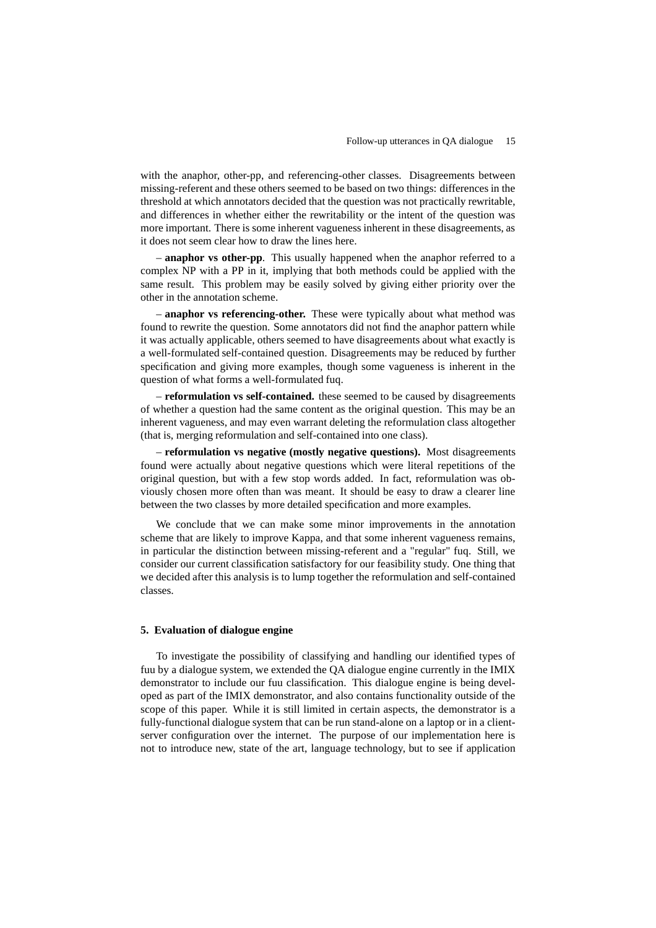with the anaphor, other-pp, and referencing-other classes. Disagreements between missing-referent and these others seemed to be based on two things: differences in the threshold at which annotators decided that the question was not practically rewritable, and differences in whether either the rewritability or the intent of the question was more important. There is some inherent vagueness inherent in these disagreements, as it does not seem clear how to draw the lines here.

– **anaphor vs other-pp**. This usually happened when the anaphor referred to a complex NP with a PP in it, implying that both methods could be applied with the same result. This problem may be easily solved by giving either priority over the other in the annotation scheme.

– **anaphor vs referencing-other.** These were typically about what method was found to rewrite the question. Some annotators did not find the anaphor pattern while it was actually applicable, others seemed to have disagreements about what exactly is a well-formulated self-contained question. Disagreements may be reduced by further specification and giving more examples, though some vagueness is inherent in the question of what forms a well-formulated fuq.

– **reformulation vs self-contained.** these seemed to be caused by disagreements of whether a question had the same content as the original question. This may be an inherent vagueness, and may even warrant deleting the reformulation class altogether (that is, merging reformulation and self-contained into one class).

– **reformulation vs negative (mostly negative questions).** Most disagreements found were actually about negative questions which were literal repetitions of the original question, but with a few stop words added. In fact, reformulation was obviously chosen more often than was meant. It should be easy to draw a clearer line between the two classes by more detailed specification and more examples.

We conclude that we can make some minor improvements in the annotation scheme that are likely to improve Kappa, and that some inherent vagueness remains, in particular the distinction between missing-referent and a "regular" fuq. Still, we consider our current classification satisfactory for our feasibility study. One thing that we decided after this analysis is to lump together the reformulation and self-contained classes.

#### **5. Evaluation of dialogue engine**

To investigate the possibility of classifying and handling our identified types of fuu by a dialogue system, we extended the QA dialogue engine currently in the IMIX demonstrator to include our fuu classification. This dialogue engine is being developed as part of the IMIX demonstrator, and also contains functionality outside of the scope of this paper. While it is still limited in certain aspects, the demonstrator is a fully-functional dialogue system that can be run stand-alone on a laptop or in a clientserver configuration over the internet. The purpose of our implementation here is not to introduce new, state of the art, language technology, but to see if application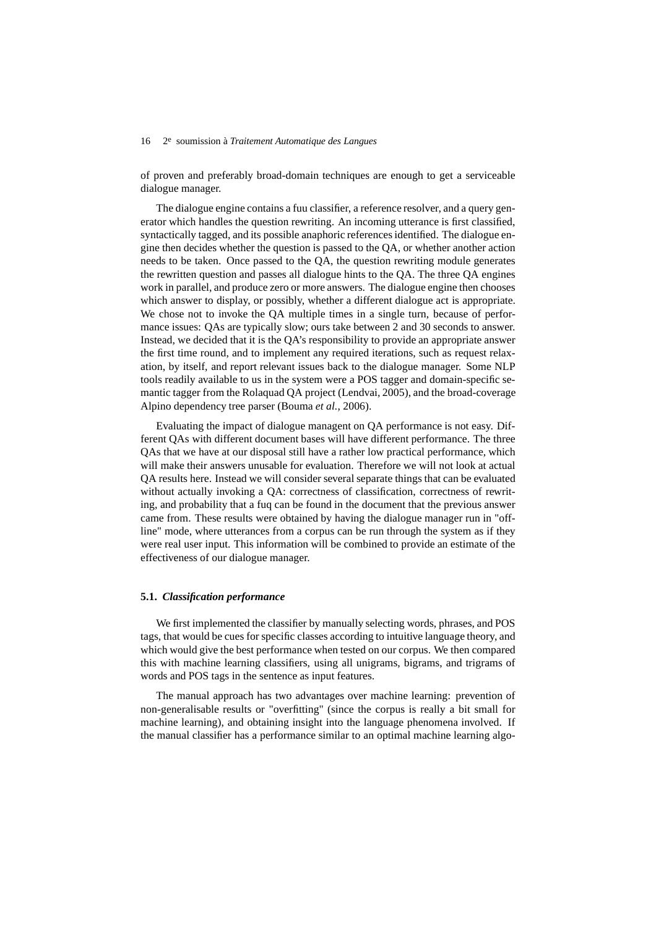of proven and preferably broad-domain techniques are enough to get a serviceable dialogue manager.

The dialogue engine contains a fuu classifier, a reference resolver, and a query generator which handles the question rewriting. An incoming utterance is first classified, syntactically tagged, and its possible anaphoric referencesidentified. The dialogue engine then decides whether the question is passed to the QA, or whether another action needs to be taken. Once passed to the QA, the question rewriting module generates the rewritten question and passes all dialogue hints to the QA. The three QA engines work in parallel, and produce zero or more answers. The dialogue engine then chooses which answer to display, or possibly, whether a different dialogue act is appropriate. We chose not to invoke the QA multiple times in a single turn, because of performance issues: QAs are typically slow; ours take between 2 and 30 seconds to answer. Instead, we decided that it is the QA's responsibility to provide an appropriate answer the first time round, and to implement any required iterations, such as request relaxation, by itself, and report relevant issues back to the dialogue manager. Some NLP tools readily available to us in the system were a POS tagger and domain-specific semantic tagger from the Rolaquad QA project (Lendvai, 2005), and the broad-coverage Alpino dependency tree parser (Bouma *et al.*, 2006).

Evaluating the impact of dialogue managent on QA performance is not easy. Different QAs with different document bases will have different performance. The three QAs that we have at our disposal still have a rather low practical performance, which will make their answers unusable for evaluation. Therefore we will not look at actual QA results here. Instead we will consider several separate things that can be evaluated without actually invoking a QA: correctness of classification, correctness of rewriting, and probability that a fuq can be found in the document that the previous answer came from. These results were obtained by having the dialogue manager run in "offline" mode, where utterances from a corpus can be run through the system as if they were real user input. This information will be combined to provide an estimate of the effectiveness of our dialogue manager.

## **5.1.** *Classification performance*

We first implemented the classifier by manually selecting words, phrases, and POS tags, that would be cues for specific classes according to intuitive language theory, and which would give the best performance when tested on our corpus. We then compared this with machine learning classifiers, using all unigrams, bigrams, and trigrams of words and POS tags in the sentence as input features.

The manual approach has two advantages over machine learning: prevention of non-generalisable results or "overfitting" (since the corpus is really a bit small for machine learning), and obtaining insight into the language phenomena involved. If the manual classifier has a performance similar to an optimal machine learning algo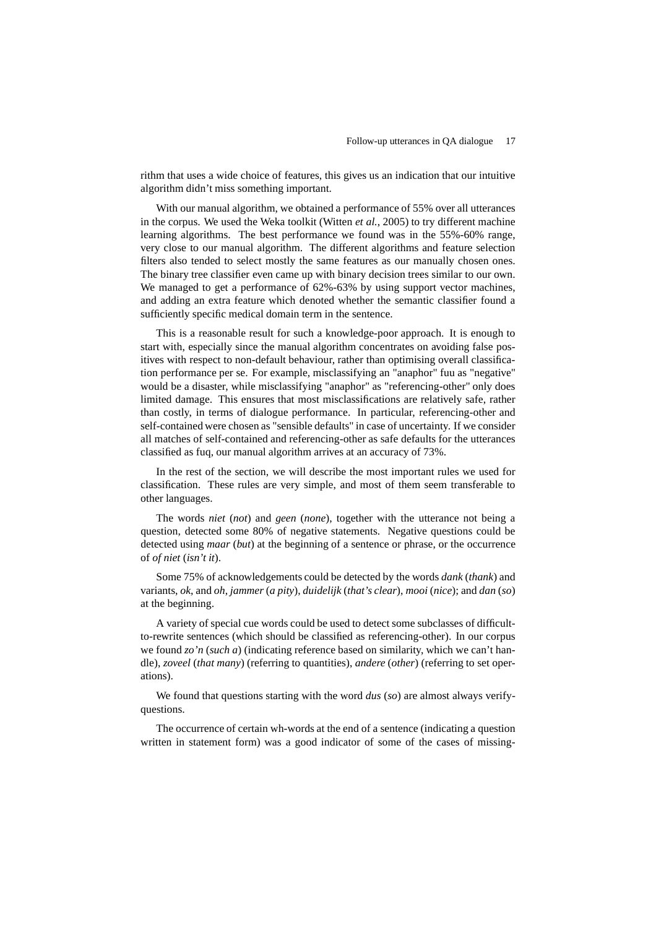rithm that uses a wide choice of features, this gives us an indication that our intuitive algorithm didn't miss something important.

With our manual algorithm, we obtained a performance of 55% over all utterances in the corpus. We used the Weka toolkit (Witten *et al.*, 2005) to try different machine learning algorithms. The best performance we found was in the 55%-60% range, very close to our manual algorithm. The different algorithms and feature selection filters also tended to select mostly the same features as our manually chosen ones. The binary tree classifier even came up with binary decision trees similar to our own. We managed to get a performance of  $62\% -63\%$  by using support vector machines, and adding an extra feature which denoted whether the semantic classifier found a sufficiently specific medical domain term in the sentence.

This is a reasonable result for such a knowledge-poor approach. It is enough to start with, especially since the manual algorithm concentrates on avoiding false positives with respect to non-default behaviour, rather than optimising overall classification performance per se. For example, misclassifying an "anaphor" fuu as "negative" would be a disaster, while misclassifying "anaphor" as "referencing-other" only does limited damage. This ensures that most misclassifications are relatively safe, rather than costly, in terms of dialogue performance. In particular, referencing-other and self-contained were chosen as "sensible defaults" in case of uncertainty. If we consider all matches of self-contained and referencing-other as safe defaults for the utterances classified as fuq, our manual algorithm arrives at an accuracy of 73%.

In the rest of the section, we will describe the most important rules we used for classification. These rules are very simple, and most of them seem transferable to other languages.

The words *niet* (*not*) and *geen* (*none*), together with the utterance not being a question, detected some 80% of negative statements. Negative questions could be detected using *maar* (*but*) at the beginning of a sentence or phrase, or the occurrence of *of niet* (*isn't it*).

Some 75% of acknowledgements could be detected by the words *dank* (*thank*) and variants, *ok*, and *oh*, *jammer* (*a pity*), *duidelijk* (*that's clear*), *mooi* (*nice*); and *dan* (*so*) at the beginning.

A variety of special cue words could be used to detect some subclasses of difficultto-rewrite sentences (which should be classified as referencing-other). In our corpus we found *zo'n* (*such a*) (indicating reference based on similarity, which we can't handle), *zoveel* (*that many*) (referring to quantities), *andere* (*other*) (referring to set operations).

We found that questions starting with the word *dus* (*so*) are almost always verifyquestions.

The occurrence of certain wh-words at the end of a sentence (indicating a question written in statement form) was a good indicator of some of the cases of missing-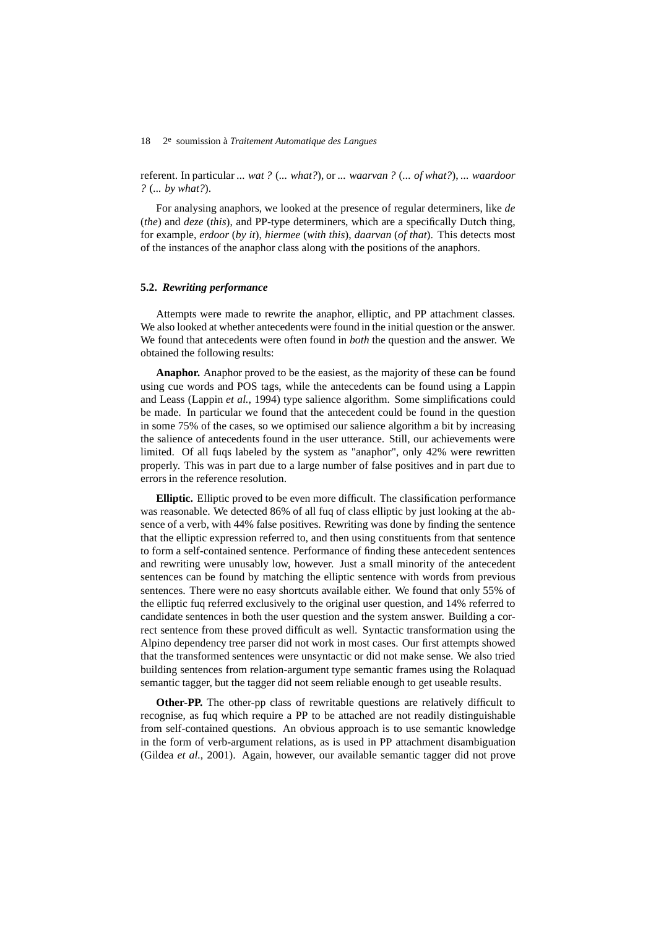referent. In particular *... wat ?* (*... what?*), or *... waarvan ?* (*... of what?*), *... waardoor ?* (*... by what?*).

For analysing anaphors, we looked at the presence of regular determiners, like *de* (*the*) and *deze* (*this*), and PP-type determiners, which are a specifically Dutch thing, for example, *erdoor* (*by it*), *hiermee* (*with this*), *daarvan* (*of that*). This detects most of the instances of the anaphor class along with the positions of the anaphors.

# **5.2.** *Rewriting performance*

Attempts were made to rewrite the anaphor, elliptic, and PP attachment classes. We also looked at whether antecedents were found in the initial question or the answer. We found that antecedents were often found in *both* the question and the answer. We obtained the following results:

**Anaphor.** Anaphor proved to be the easiest, as the majority of these can be found using cue words and POS tags, while the antecedents can be found using a Lappin and Leass (Lappin *et al.*, 1994) type salience algorithm. Some simplifications could be made. In particular we found that the antecedent could be found in the question in some 75% of the cases, so we optimised our salience algorithm a bit by increasing the salience of antecedents found in the user utterance. Still, our achievements were limited. Of all fuqs labeled by the system as "anaphor", only 42% were rewritten properly. This was in part due to a large number of false positives and in part due to errors in the reference resolution.

**Elliptic.** Elliptic proved to be even more difficult. The classification performance was reasonable. We detected 86% of all fuq of class elliptic by just looking at the absence of a verb, with 44% false positives. Rewriting was done by finding the sentence that the elliptic expression referred to, and then using constituents from that sentence to form a self-contained sentence. Performance of finding these antecedent sentences and rewriting were unusably low, however. Just a small minority of the antecedent sentences can be found by matching the elliptic sentence with words from previous sentences. There were no easy shortcuts available either. We found that only 55% of the elliptic fuq referred exclusively to the original user question, and 14% referred to candidate sentences in both the user question and the system answer. Building a correct sentence from these proved difficult as well. Syntactic transformation using the Alpino dependency tree parser did not work in most cases. Our first attempts showed that the transformed sentences were unsyntactic or did not make sense. We also tried building sentences from relation-argument type semantic frames using the Rolaquad semantic tagger, but the tagger did not seem reliable enough to get useable results.

**Other-PP.** The other-pp class of rewritable questions are relatively difficult to recognise, as fuq which require a PP to be attached are not readily distinguishable from self-contained questions. An obvious approach is to use semantic knowledge in the form of verb-argument relations, as is used in PP attachment disambiguation (Gildea *et al.*, 2001). Again, however, our available semantic tagger did not prove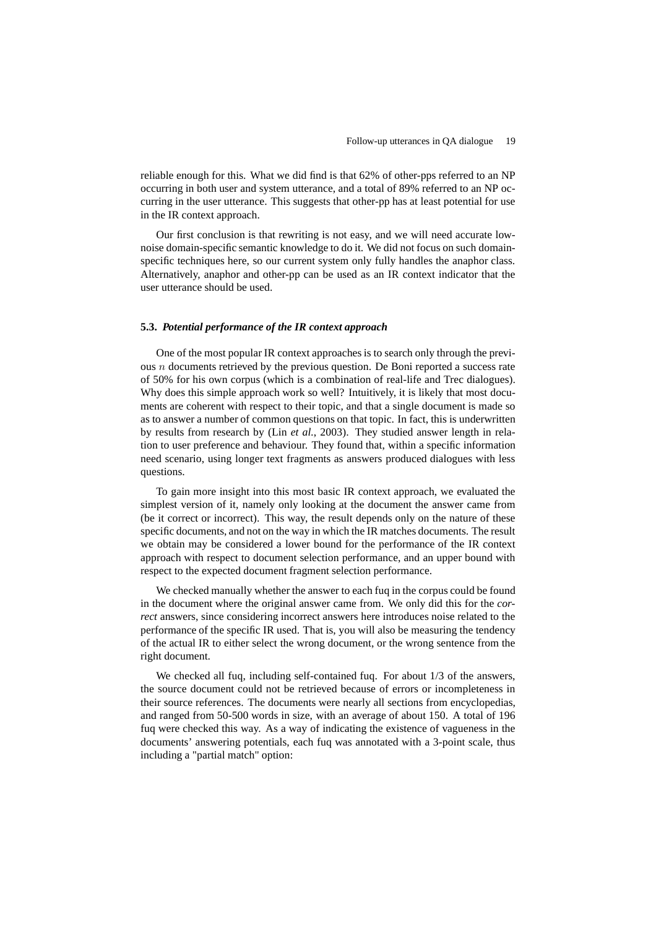reliable enough for this. What we did find is that 62% of other-pps referred to an NP occurring in both user and system utterance, and a total of 89% referred to an NP occurring in the user utterance. This suggests that other-pp has at least potential for use in the IR context approach.

Our first conclusion is that rewriting is not easy, and we will need accurate lownoise domain-specific semantic knowledge to do it. We did not focus on such domainspecific techniques here, so our current system only fully handles the anaphor class. Alternatively, anaphor and other-pp can be used as an IR context indicator that the user utterance should be used.

#### **5.3.** *Potential performance of the IR context approach*

One of the most popular IR context approaches is to search only through the previous n documents retrieved by the previous question. De Boni reported a success rate of 50% for his own corpus (which is a combination of real-life and Trec dialogues). Why does this simple approach work so well? Intuitively, it is likely that most documents are coherent with respect to their topic, and that a single document is made so as to answer a number of common questions on that topic. In fact, this is underwritten by results from research by (Lin *et al.*, 2003). They studied answer length in relation to user preference and behaviour. They found that, within a specific information need scenario, using longer text fragments as answers produced dialogues with less questions.

To gain more insight into this most basic IR context approach, we evaluated the simplest version of it, namely only looking at the document the answer came from (be it correct or incorrect). This way, the result depends only on the nature of these specific documents, and not on the way in which the IR matches documents. The result we obtain may be considered a lower bound for the performance of the IR context approach with respect to document selection performance, and an upper bound with respect to the expected document fragment selection performance.

We checked manually whether the answer to each fuq in the corpus could be found in the document where the original answer came from. We only did this for the *correct* answers, since considering incorrect answers here introduces noise related to the performance of the specific IR used. That is, you will also be measuring the tendency of the actual IR to either select the wrong document, or the wrong sentence from the right document.

We checked all fuq, including self-contained fuq. For about 1/3 of the answers, the source document could not be retrieved because of errors or incompleteness in their source references. The documents were nearly all sections from encyclopedias, and ranged from 50-500 words in size, with an average of about 150. A total of 196 fuq were checked this way. As a way of indicating the existence of vagueness in the documents' answering potentials, each fuq was annotated with a 3-point scale, thus including a "partial match" option: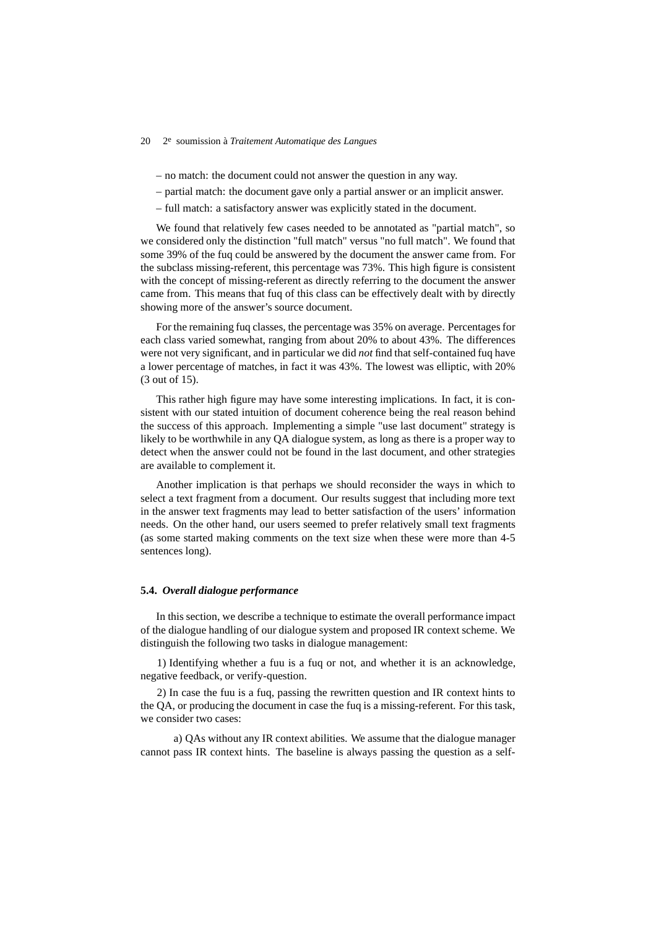– no match: the document could not answer the question in any way.

- partial match: the document gave only a partial answer or an implicit answer.
- full match: a satisfactory answer was explicitly stated in the document.

We found that relatively few cases needed to be annotated as "partial match", so we considered only the distinction "full match" versus "no full match". We found that some 39% of the fuq could be answered by the document the answer came from. For the subclass missing-referent, this percentage was 73%. This high figure is consistent with the concept of missing-referent as directly referring to the document the answer came from. This means that fuq of this class can be effectively dealt with by directly showing more of the answer's source document.

For the remaining fuq classes, the percentage was 35% on average. Percentagesfor each class varied somewhat, ranging from about 20% to about 43%. The differences were not very significant, and in particular we did *not* find that self-contained fuq have a lower percentage of matches, in fact it was 43%. The lowest was elliptic, with 20% (3 out of 15).

This rather high figure may have some interesting implications. In fact, it is consistent with our stated intuition of document coherence being the real reason behind the success of this approach. Implementing a simple "use last document" strategy is likely to be worthwhile in any QA dialogue system, as long as there is a proper way to detect when the answer could not be found in the last document, and other strategies are available to complement it.

Another implication is that perhaps we should reconsider the ways in which to select a text fragment from a document. Our results suggest that including more text in the answer text fragments may lead to better satisfaction of the users' information needs. On the other hand, our users seemed to prefer relatively small text fragments (as some started making comments on the text size when these were more than 4-5 sentences long).

# **5.4.** *Overall dialogue performance*

In this section, we describe a technique to estimate the overall performance impact of the dialogue handling of our dialogue system and proposed IR context scheme. We distinguish the following two tasks in dialogue management:

1) Identifying whether a fuu is a fuq or not, and whether it is an acknowledge, negative feedback, or verify-question.

2) In case the fuu is a fuq, passing the rewritten question and IR context hints to the QA, or producing the document in case the fuq is a missing-referent. For this task, we consider two cases:

a) QAs without any IR context abilities. We assume that the dialogue manager cannot pass IR context hints. The baseline is always passing the question as a self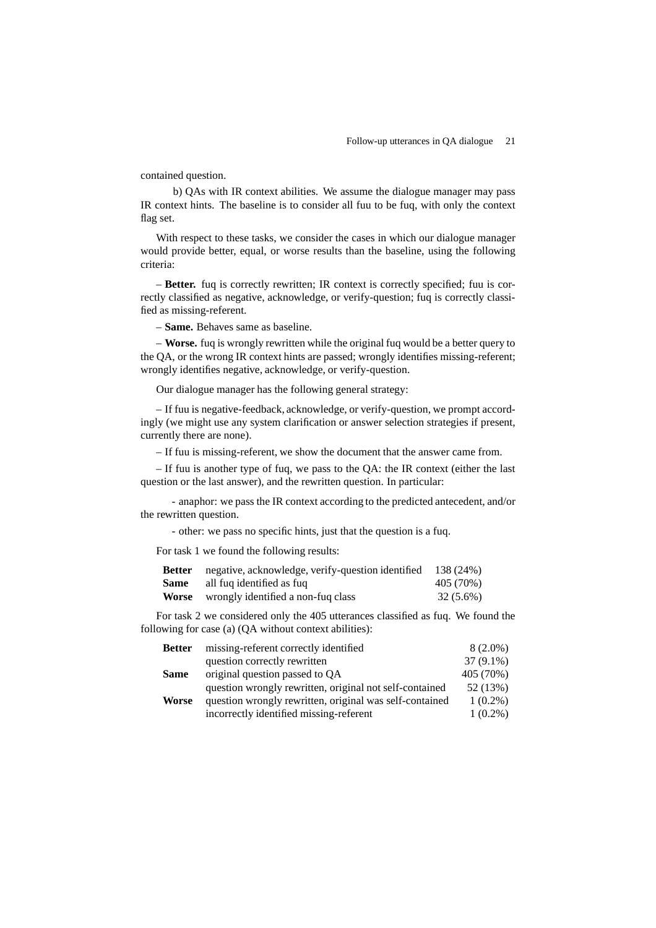contained question.

b) QAs with IR context abilities. We assume the dialogue manager may pass IR context hints. The baseline is to consider all fuu to be fuq, with only the context flag set.

With respect to these tasks, we consider the cases in which our dialogue manager would provide better, equal, or worse results than the baseline, using the following criteria:

– **Better.** fuq is correctly rewritten; IR context is correctly specified; fuu is correctly classified as negative, acknowledge, or verify-question; fuq is correctly classified as missing-referent.

– **Same.** Behaves same as baseline.

– **Worse.** fuq is wrongly rewritten while the original fuq would be a better query to the QA, or the wrong IR context hints are passed; wrongly identifies missing-referent; wrongly identifies negative, acknowledge, or verify-question.

Our dialogue manager has the following general strategy:

– If fuu is negative-feedback, acknowledge, or verify-question, we prompt accordingly (we might use any system clarification or answer selection strategies if present, currently there are none).

– If fuu is missing-referent, we show the document that the answer came from.

– If fuu is another type of fuq, we pass to the QA: the IR context (either the last question or the last answer), and the rewritten question. In particular:

- anaphor: we pass the IR context according to the predicted antecedent, and/or the rewritten question.

- other: we pass no specific hints, just that the question is a fuq.

For task 1 we found the following results:

|      | <b>Better</b> negative, acknowledge, verify-question identified 138 (24%) |           |
|------|---------------------------------------------------------------------------|-----------|
| Same | all fug identified as fug                                                 | 405 (70%) |
|      | <b>Worse</b> wrongly identified a non-fuq class                           | 32 (5.6%) |

For task 2 we considered only the 405 utterances classified as fuq. We found the following for case (a) (QA without context abilities):

| <b>Better</b> | missing-referent correctly identified                   | $8(2.0\%)$  |
|---------------|---------------------------------------------------------|-------------|
|               | question correctly rewritten                            | $37(9.1\%)$ |
| <b>Same</b>   | original question passed to QA                          | 405 (70%)   |
|               | question wrongly rewritten, original not self-contained | 52 (13%)    |
| <b>Worse</b>  | question wrongly rewritten, original was self-contained | $1(0.2\%)$  |
|               | incorrectly identified missing-referent                 | $1(0.2\%)$  |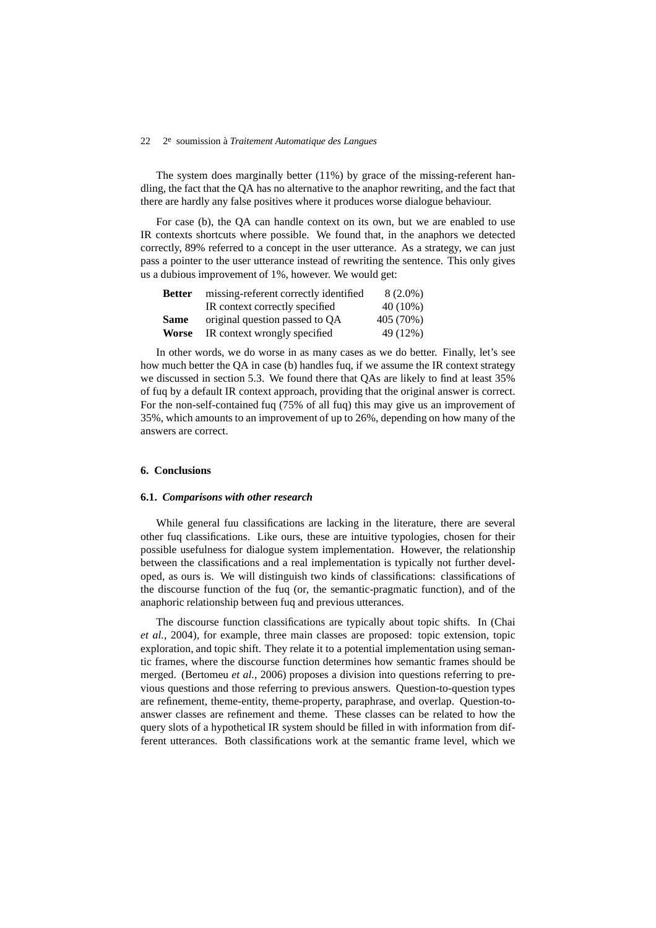The system does marginally better (11%) by grace of the missing-referent handling, the fact that the QA has no alternative to the anaphor rewriting, and the fact that there are hardly any false positives where it produces worse dialogue behaviour.

For case (b), the QA can handle context on its own, but we are enabled to use IR contexts shortcuts where possible. We found that, in the anaphors we detected correctly, 89% referred to a concept in the user utterance. As a strategy, we can just pass a pointer to the user utterance instead of rewriting the sentence. This only gives us a dubious improvement of 1%, however. We would get:

| <b>Better</b> | missing-referent correctly identified | 8 (2.0%)  |
|---------------|---------------------------------------|-----------|
|               | IR context correctly specified        | 40 (10%)  |
| <b>Same</b>   | original question passed to QA        | 405 (70%) |
| <b>Worse</b>  | IR context wrongly specified          | 49 (12%)  |

In other words, we do worse in as many cases as we do better. Finally, let's see how much better the QA in case (b) handles fuq, if we assume the IR context strategy we discussed in section 5.3. We found there that QAs are likely to find at least 35% of fuq by a default IR context approach, providing that the original answer is correct. For the non-self-contained fuq (75% of all fuq) this may give us an improvement of 35%, which amounts to an improvement of up to 26%, depending on how many of the answers are correct.

# **6. Conclusions**

#### **6.1.** *Comparisons with other research*

While general fuu classifications are lacking in the literature, there are several other fuq classifications. Like ours, these are intuitive typologies, chosen for their possible usefulness for dialogue system implementation. However, the relationship between the classifications and a real implementation is typically not further developed, as ours is. We will distinguish two kinds of classifications: classifications of the discourse function of the fuq (or, the semantic-pragmatic function), and of the anaphoric relationship between fuq and previous utterances.

The discourse function classifications are typically about topic shifts. In (Chai *et al.*, 2004), for example, three main classes are proposed: topic extension, topic exploration, and topic shift. They relate it to a potential implementation using semantic frames, where the discourse function determines how semantic frames should be merged. (Bertomeu *et al.*, 2006) proposes a division into questions referring to previous questions and those referring to previous answers. Question-to-question types are refinement, theme-entity, theme-property, paraphrase, and overlap. Question-toanswer classes are refinement and theme. These classes can be related to how the query slots of a hypothetical IR system should be filled in with information from different utterances. Both classifications work at the semantic frame level, which we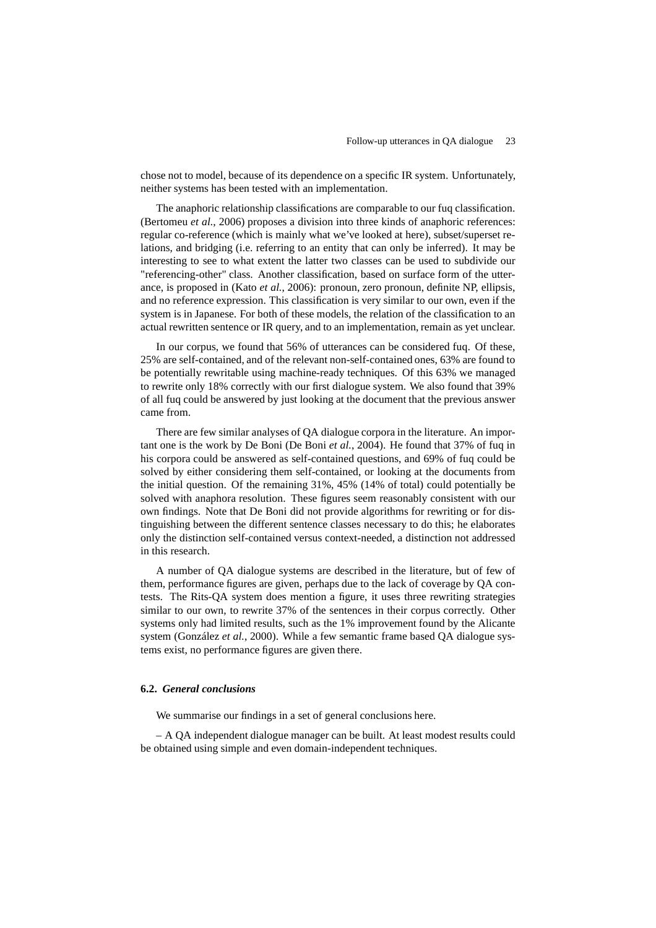chose not to model, because of its dependence on a specific IR system. Unfortunately, neither systems has been tested with an implementation.

The anaphoric relationship classifications are comparable to our fuq classification. (Bertomeu *et al.*, 2006) proposes a division into three kinds of anaphoric references: regular co-reference (which is mainly what we've looked at here), subset/superset relations, and bridging (i.e. referring to an entity that can only be inferred). It may be interesting to see to what extent the latter two classes can be used to subdivide our "referencing-other" class. Another classification, based on surface form of the utterance, is proposed in (Kato *et al.*, 2006): pronoun, zero pronoun, definite NP, ellipsis, and no reference expression. This classification is very similar to our own, even if the system is in Japanese. For both of these models, the relation of the classification to an actual rewritten sentence or IR query, and to an implementation, remain as yet unclear.

In our corpus, we found that 56% of utterances can be considered fuq. Of these, 25% are self-contained, and of the relevant non-self-contained ones, 63% are found to be potentially rewritable using machine-ready techniques. Of this 63% we managed to rewrite only 18% correctly with our first dialogue system. We also found that 39% of all fuq could be answered by just looking at the document that the previous answer came from.

There are few similar analyses of QA dialogue corpora in the literature. An important one is the work by De Boni (De Boni *et al.*, 2004). He found that 37% of fuq in his corpora could be answered as self-contained questions, and 69% of fuq could be solved by either considering them self-contained, or looking at the documents from the initial question. Of the remaining 31%, 45% (14% of total) could potentially be solved with anaphora resolution. These figures seem reasonably consistent with our own findings. Note that De Boni did not provide algorithms for rewriting or for distinguishing between the different sentence classes necessary to do this; he elaborates only the distinction self-contained versus context-needed, a distinction not addressed in this research.

A number of QA dialogue systems are described in the literature, but of few of them, performance figures are given, perhaps due to the lack of coverage by QA contests. The Rits-QA system does mention a figure, it uses three rewriting strategies similar to our own, to rewrite 37% of the sentences in their corpus correctly. Other systems only had limited results, such as the 1% improvement found by the Alicante system (González *et al.*, 2000). While a few semantic frame based QA dialogue systems exist, no performance figures are given there.

#### **6.2.** *General conclusions*

We summarise our findings in a set of general conclusions here.

– A QA independent dialogue manager can be built. At least modest results could be obtained using simple and even domain-independent techniques.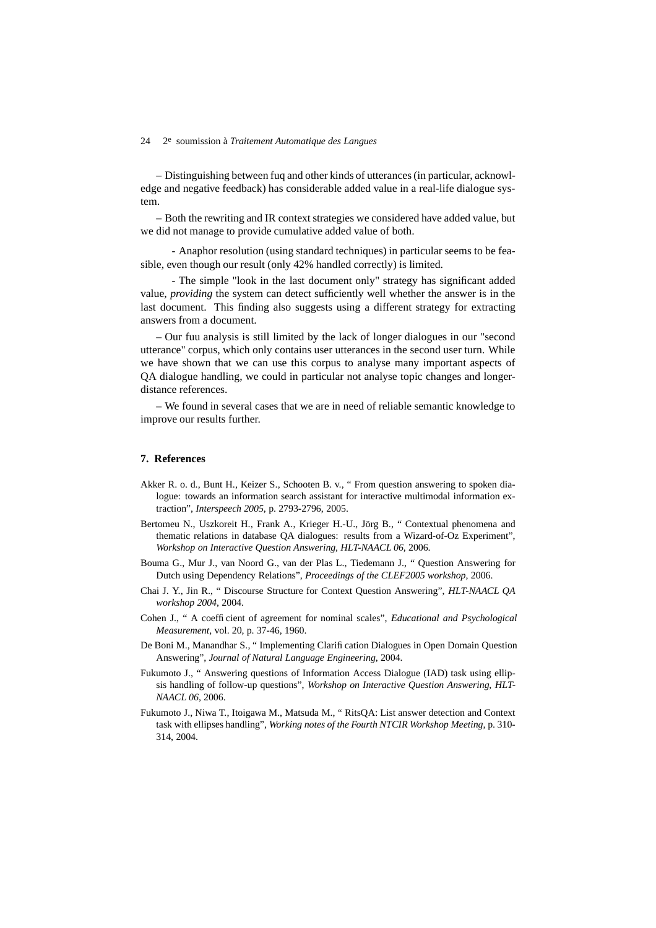– Distinguishing between fuq and other kinds of utterances(in particular, acknowledge and negative feedback) has considerable added value in a real-life dialogue system.

– Both the rewriting and IR context strategies we considered have added value, but we did not manage to provide cumulative added value of both.

- Anaphor resolution (using standard techniques) in particular seems to be feasible, even though our result (only 42% handled correctly) is limited.

- The simple "look in the last document only" strategy has significant added value, *providing* the system can detect sufficiently well whether the answer is in the last document. This finding also suggests using a different strategy for extracting answers from a document.

– Our fuu analysis is still limited by the lack of longer dialogues in our "second utterance" corpus, which only contains user utterances in the second user turn. While we have shown that we can use this corpus to analyse many important aspects of QA dialogue handling, we could in particular not analyse topic changes and longerdistance references.

– We found in several cases that we are in need of reliable semantic knowledge to improve our results further.

## **7. References**

- Akker R. o. d., Bunt H., Keizer S., Schooten B. v., " From question answering to spoken dialogue: towards an information search assistant for interactive multimodal information extraction", *Interspeech 2005*, p. 2793-2796, 2005.
- Bertomeu N., Uszkoreit H., Frank A., Krieger H.-U., Jörg B., " Contextual phenomena and thematic relations in database QA dialogues: results from a Wizard-of-Oz Experiment", *Workshop on Interactive Question Answering, HLT-NAACL 06*, 2006.
- Bouma G., Mur J., van Noord G., van der Plas L., Tiedemann J., " Question Answering for Dutch using Dependency Relations", *Proceedings of the CLEF2005 workshop*, 2006.
- Chai J. Y., Jin R., " Discourse Structure for Context Question Answering", *HLT-NAACL QA workshop 2004*, 2004.
- Cohen J., " A coefficient of agreement for nominal scales", *Educational and Psychological Measurement*, vol. 20, p. 37-46, 1960.
- De Boni M., Manandhar S., " Implementing Clarification Dialogues in Open Domain Question Answering", *Journal of Natural Language Engineering*, 2004.
- Fukumoto J., " Answering questions of Information Access Dialogue (IAD) task using ellipsis handling of follow-up questions", *Workshop on Interactive Question Answering, HLT-NAACL 06*, 2006.
- Fukumoto J., Niwa T., Itoigawa M., Matsuda M., " RitsQA: List answer detection and Context task with ellipses handling", *Working notes of the Fourth NTCIR Workshop Meeting*, p. 310- 314, 2004.